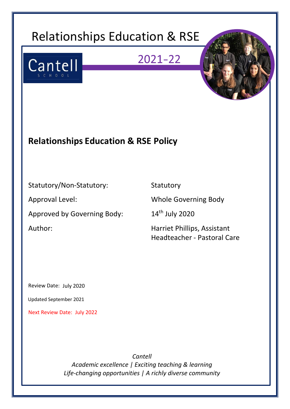# Relationships Education & RSE

## $2021 - 22$





### **Relationships Education & RSE Policy**

### Statutory/Non-Statutory: Statutory

Approved by Governing Body: 14<sup>th</sup> July 2020

Approval Level: Whole Governing Body

Author: Author: Fig. 2013 Marriet Phillips, Assistant Headteacher - Pastoral Care

Review Date: July 2020

Updated September 2021

Next Review Date: July 2022

*Cantell Academic excellence | Exciting teaching & learning Life-changing opportunities | A richly diverse community*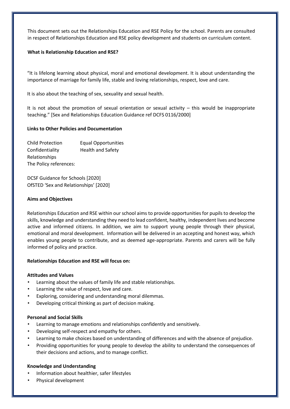This document sets out the Relationships Education and RSE Policy for the school. Parents are consulted in respect of Relationships Education and RSE policy development and students on curriculum content.

#### **What is Relationship Education and RSE?**

"It is lifelong learning about physical, moral and emotional development. It is about understanding the importance of marriage for family life, stable and loving relationships, respect, love and care.

It is also about the teaching of sex, sexuality and sexual health.

It is not about the promotion of sexual orientation or sexual activity  $-$  this would be inappropriate teaching." [Sex and Relationships Education Guidance ref DCFS 0116/2000]

#### **Links to Other Policies and Documentation**

| <b>Child Protection</b> | <b>Equal Opportunities</b> |
|-------------------------|----------------------------|
| Confidentiality         | <b>Health and Safety</b>   |
| Relationships           |                            |
| The Policy references:  |                            |

DCSF Guidance for Schools [2020] OfSTED 'Sex and Relationships' [2020]

#### **Aims and Objectives**

Relationships Education and RSE within our school aims to provide opportunities for pupils to develop the skills, knowledge and understanding they need to lead confident, healthy, independent lives and become active and informed citizens. In addition, we aim to support young people through their physical, emotional and moral development. Information will be delivered in an accepting and honest way, which enables young people to contribute, and as deemed age-appropriate. Parents and carers will be fully informed of policy and practice.

#### **Relationships Education and RSE will focus on:**

#### **Attitudes and Values**

- Learning about the values of family life and stable relationships.
- Learning the value of respect, love and care.
- Exploring, considering and understanding moral dilemmas.
- Developing critical thinking as part of decision making.

#### **Personal and Social Skills**

- Learning to manage emotions and relationships confidently and sensitively.
- Developing self-respect and empathy for others.
- Learning to make choices based on understanding of differences and with the absence of prejudice.
- Providing opportunities for young people to develop the ability to understand the consequences of their decisions and actions, and to manage conflict.

#### **Knowledge and Understanding**

- Information about healthier, safer lifestyles
- Physical development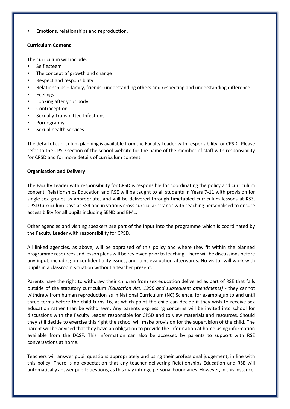• Emotions, relationships and reproduction.

#### **Curriculum Content**

The curriculum will include:

- Self esteem
- The concept of growth and change
- Respect and responsibility
- Relationships family, friends; understanding others and respecting and understanding difference
- **Feelings**
- Looking after your body
- **Contraception**
- Sexually Transmitted Infections
- Pornography
- Sexual health services

The detail of curriculum planning is available from the Faculty Leader with responsibility for CPSD. Please refer to the CPSD section of the school website for the name of the member of staff with responsibility for CPSD and for more details of curriculum content.

#### **Organisation and Delivery**

The Faculty Leader with responsibility for CPSD is responsible for coordinating the policy and curriculum content. Relationships Education and RSE will be taught to all students in Years 7-11 with provision for single-sex groups as appropriate, and will be delivered through timetabled curriculum lessons at KS3, CPSD Curriculum Days at KS4 and in various cross curricular strands with teaching personalised to ensure accessibility for all pupils including SEND and BML.

Other agencies and visiting speakers are part of the input into the programme which is coordinated by the Faculty Leader with responsibility for CPSD.

All linked agencies, as above, will be appraised of this policy and where they fit within the planned programme resources and lesson plans will be reviewed prior to teaching. There will be discussions before any input, including on confidentiality issues, and joint evaluation afterwards. No visitor will work with pupils in a classroom situation without a teacher present.

Parents have the right to withdraw their children from sex education delivered as part of RSE that falls outside of the statutory curriculum *(Education Act, 1996 and subsequent amendments) -* they cannot withdraw from human reproduction as in National Curriculum (NC) Science, for example up to and until three terms before the child turns 16, at which point the child can decide if they wish to receive sex education rather than be withdrawn**.** Any parents expressing concerns will be invited into school for discussions with the Faculty Leader responsible for CPSD and to view materials and resources. Should they still decide to exercise this right the school will make provision for the supervision of the child. The parent will be advised that they have an obligation to provide the information at home using information available from the DCSF. This information can also be accessed by parents to support with RSE conversations at home.

Teachers will answer pupil questions appropriately and using their professional judgement, in line with this policy. There is no expectation that any teacher delivering Relationships Education and RSE will automatically answer pupil questions, as this may infringe personal boundaries. However, in this instance,